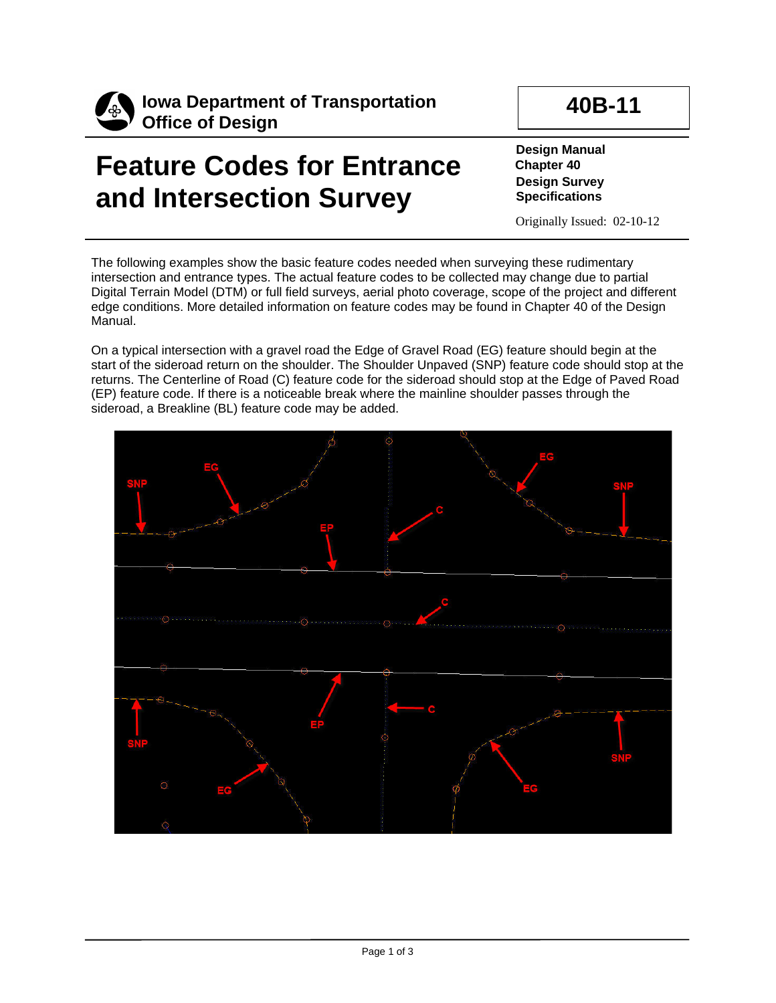

**Iowa Department of Transportation Office of Design**

## **40B-11**

## **Feature Codes for Entrance and Intersection Survey**

**Design Manual Chapter 40 Design Survey Specifications**

Originally Issued: 02-10-12

The following examples show the basic feature codes needed when surveying these rudimentary intersection and entrance types. The actual feature codes to be collected may change due to partial Digital Terrain Model (DTM) or full field surveys, aerial photo coverage, scope of the project and different edge conditions. More detailed information on feature codes may be found in Chapter 40 of the Design Manual.

On a typical intersection with a gravel road the Edge of Gravel Road (EG) feature should begin at the start of the sideroad return on the shoulder. The Shoulder Unpaved (SNP) feature code should stop at the returns. The Centerline of Road (C) feature code for the sideroad should stop at the Edge of Paved Road (EP) feature code. If there is a noticeable break where the mainline shoulder passes through the sideroad, a Breakline (BL) feature code may be added.

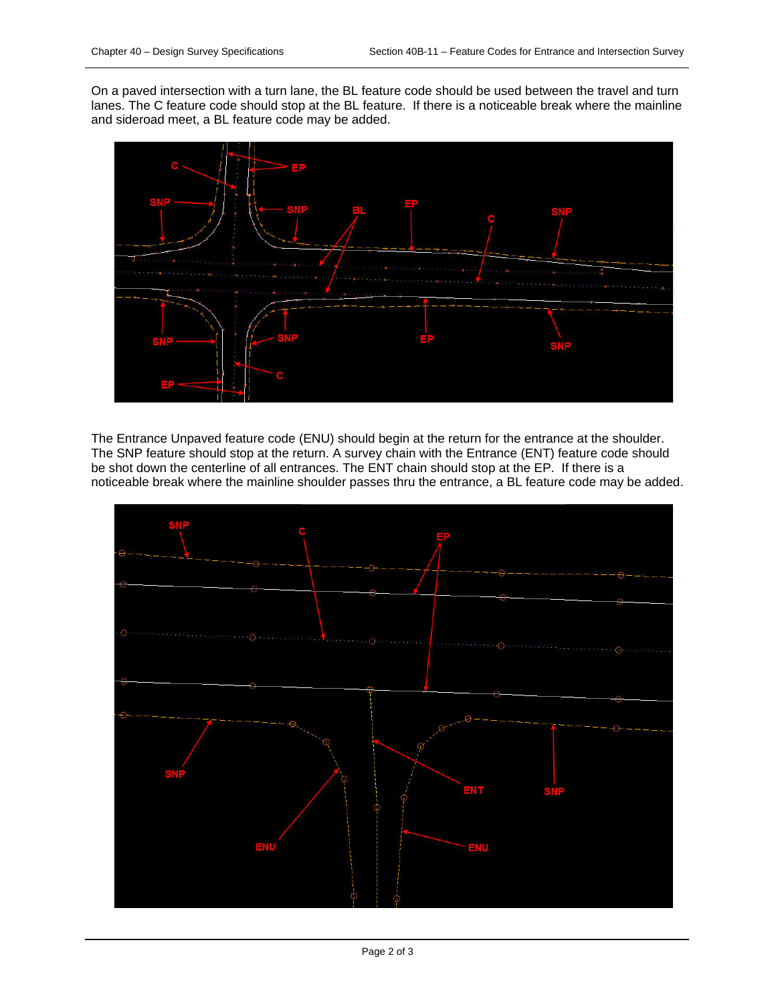On a paved intersection with a turn lane, the BL feature code should be used between the travel and turn lanes. The C feature code should stop at the BL feature. If there is a noticeable break where the mainline and sideroad meet, a BL feature code may be added.



The Entrance Unpaved feature code (ENU) should begin at the return for the entrance at the shoulder. The SNP feature should stop at the return. A survey chain with the Entrance (ENT) feature code should be shot down the centerline of all entrances. The ENT chain should stop at the EP. If there is a noticeable break where the mainline shoulder passes thru the entrance, a BL feature code may be added.

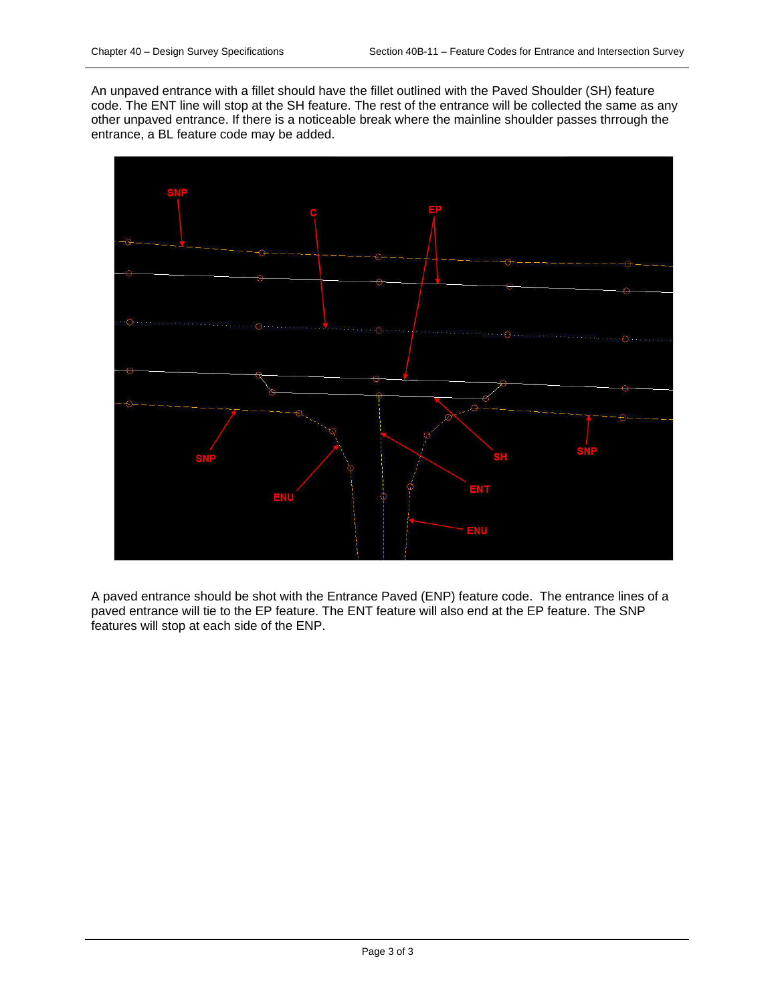An unpaved entrance with a fillet should have the fillet outlined with the Paved Shoulder (SH) feature code. The ENT line will stop at the SH feature. The rest of the entrance will be collected the same as any other unpaved entrance. If there is a noticeable break where the mainline shoulder passes thrrough the entrance, a BL feature code may be added.



A paved entrance should be shot with the Entrance Paved (ENP) feature code. The entrance lines of a paved entrance will tie to the EP feature. The ENT feature will also end at the EP feature. The SNP features will stop at each side of the ENP.